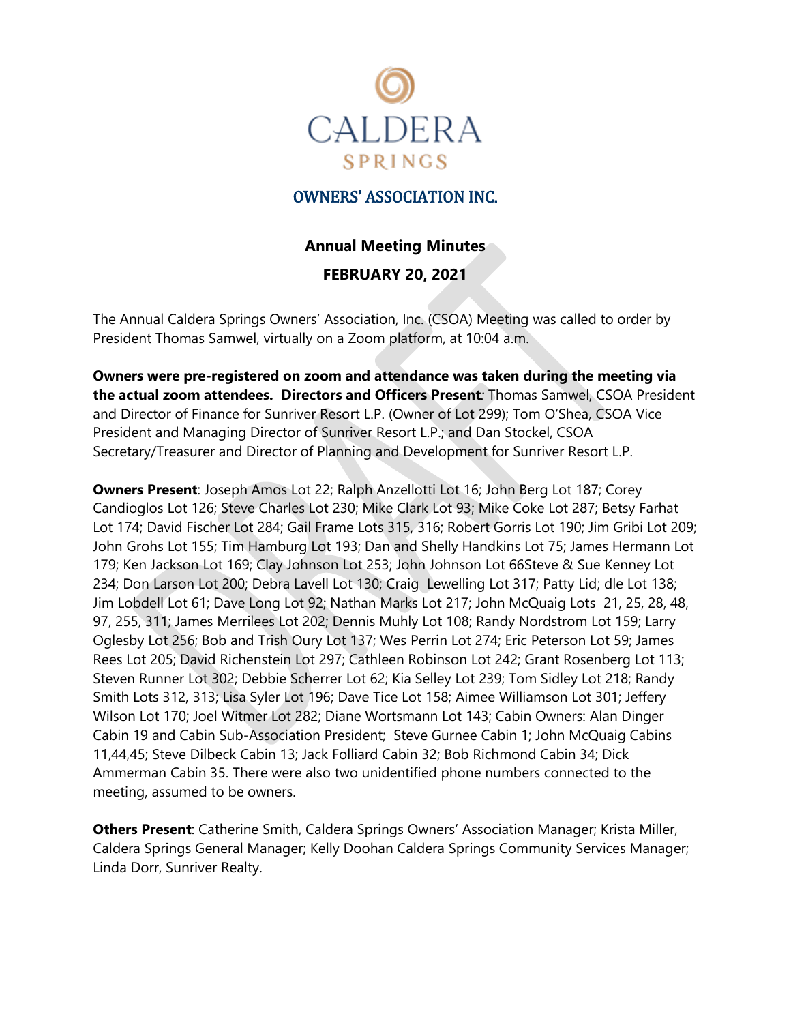

## OWNERS' ASSOCIATION INC.

# **Annual Meeting Minutes**

#### **FEBRUARY 20, 2021**

The Annual Caldera Springs Owners' Association, Inc. (CSOA) Meeting was called to order by President Thomas Samwel, virtually on a Zoom platform, at 10:04 a.m.

**Owners were pre-registered on zoom and attendance was taken during the meeting via the actual zoom attendees. Directors and Officers Present***:* Thomas Samwel, CSOA President and Director of Finance for Sunriver Resort L.P. (Owner of Lot 299); Tom O'Shea, CSOA Vice President and Managing Director of Sunriver Resort L.P.; and Dan Stockel, CSOA Secretary/Treasurer and Director of Planning and Development for Sunriver Resort L.P.

**Owners Present**: Joseph Amos Lot 22; Ralph Anzellotti Lot 16; John Berg Lot 187; Corey Candioglos Lot 126; Steve Charles Lot 230; Mike Clark Lot 93; Mike Coke Lot 287; Betsy Farhat Lot 174; David Fischer Lot 284; Gail Frame Lots 315, 316; Robert Gorris Lot 190; Jim Gribi Lot 209; John Grohs Lot 155; Tim Hamburg Lot 193; Dan and Shelly Handkins Lot 75; James Hermann Lot 179; Ken Jackson Lot 169; Clay Johnson Lot 253; John Johnson Lot 66Steve & Sue Kenney Lot 234; Don Larson Lot 200; Debra Lavell Lot 130; Craig Lewelling Lot 317; Patty Lid; dle Lot 138; Jim Lobdell Lot 61; Dave Long Lot 92; Nathan Marks Lot 217; John McQuaig Lots 21, 25, 28, 48, 97, 255, 311; James Merrilees Lot 202; Dennis Muhly Lot 108; Randy Nordstrom Lot 159; Larry Oglesby Lot 256; Bob and Trish Oury Lot 137; Wes Perrin Lot 274; Eric Peterson Lot 59; James Rees Lot 205; David Richenstein Lot 297; Cathleen Robinson Lot 242; Grant Rosenberg Lot 113; Steven Runner Lot 302; Debbie Scherrer Lot 62; Kia Selley Lot 239; Tom Sidley Lot 218; Randy Smith Lots 312, 313; Lisa Syler Lot 196; Dave Tice Lot 158; Aimee Williamson Lot 301; Jeffery Wilson Lot 170; Joel Witmer Lot 282; Diane Wortsmann Lot 143; Cabin Owners: Alan Dinger Cabin 19 and Cabin Sub-Association President; Steve Gurnee Cabin 1; John McQuaig Cabins 11,44,45; Steve Dilbeck Cabin 13; Jack Folliard Cabin 32; Bob Richmond Cabin 34; Dick Ammerman Cabin 35. There were also two unidentified phone numbers connected to the meeting, assumed to be owners.

**Others Present**: Catherine Smith, Caldera Springs Owners' Association Manager; Krista Miller, Caldera Springs General Manager; Kelly Doohan Caldera Springs Community Services Manager; Linda Dorr, Sunriver Realty.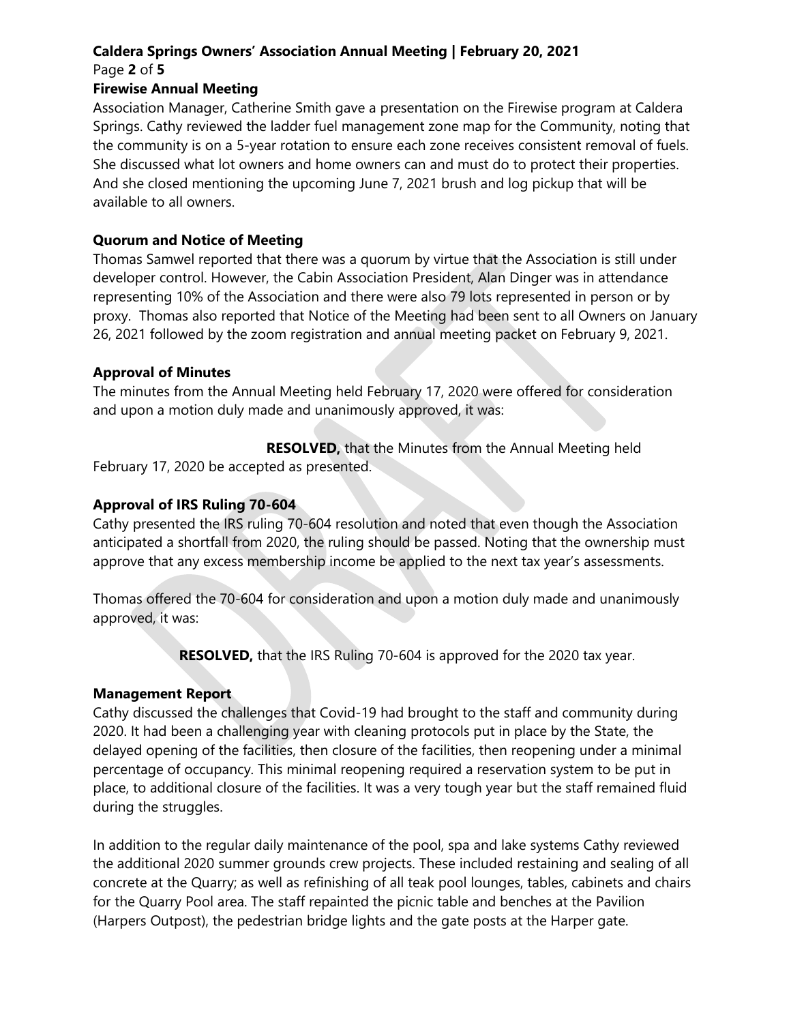# **Caldera Springs Owners' Association Annual Meeting | February 20, 2021**

Page **2** of **5**

## **Firewise Annual Meeting**

Association Manager, Catherine Smith gave a presentation on the Firewise program at Caldera Springs. Cathy reviewed the ladder fuel management zone map for the Community, noting that the community is on a 5-year rotation to ensure each zone receives consistent removal of fuels. She discussed what lot owners and home owners can and must do to protect their properties. And she closed mentioning the upcoming June 7, 2021 brush and log pickup that will be available to all owners.

# **Quorum and Notice of Meeting**

Thomas Samwel reported that there was a quorum by virtue that the Association is still under developer control. However, the Cabin Association President, Alan Dinger was in attendance representing 10% of the Association and there were also 79 lots represented in person or by proxy. Thomas also reported that Notice of the Meeting had been sent to all Owners on January 26, 2021 followed by the zoom registration and annual meeting packet on February 9, 2021.

# **Approval of Minutes**

The minutes from the Annual Meeting held February 17, 2020 were offered for consideration and upon a motion duly made and unanimously approved, it was:

 **RESOLVED,** that the Minutes from the Annual Meeting held

February 17, 2020 be accepted as presented.

# **Approval of IRS Ruling 70-604**

Cathy presented the IRS ruling 70-604 resolution and noted that even though the Association anticipated a shortfall from 2020, the ruling should be passed. Noting that the ownership must approve that any excess membership income be applied to the next tax year's assessments.

Thomas offered the 70-604 for consideration and upon a motion duly made and unanimously approved, it was:

 **RESOLVED,** that the IRS Ruling 70-604 is approved for the 2020 tax year.

# **Management Report**

Cathy discussed the challenges that Covid-19 had brought to the staff and community during 2020. It had been a challenging year with cleaning protocols put in place by the State, the delayed opening of the facilities, then closure of the facilities, then reopening under a minimal percentage of occupancy. This minimal reopening required a reservation system to be put in place, to additional closure of the facilities. It was a very tough year but the staff remained fluid during the struggles.

In addition to the regular daily maintenance of the pool, spa and lake systems Cathy reviewed the additional 2020 summer grounds crew projects. These included restaining and sealing of all concrete at the Quarry; as well as refinishing of all teak pool lounges, tables, cabinets and chairs for the Quarry Pool area. The staff repainted the picnic table and benches at the Pavilion (Harpers Outpost), the pedestrian bridge lights and the gate posts at the Harper gate.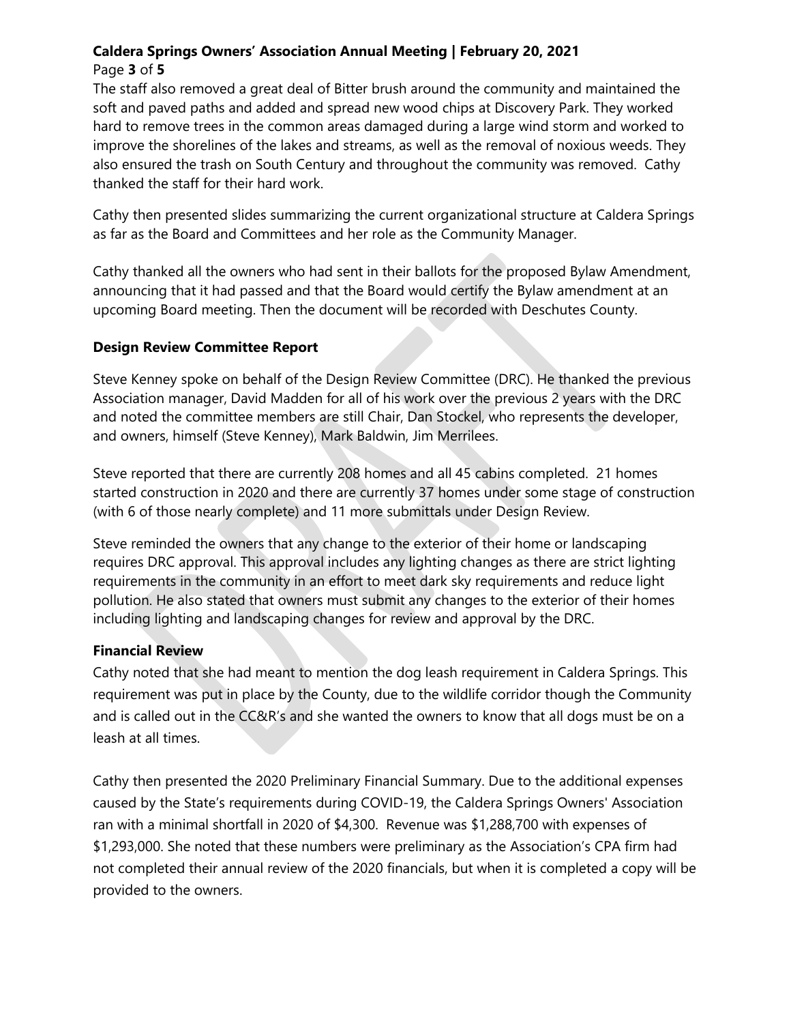## **Caldera Springs Owners' Association Annual Meeting | February 20, 2021** Page **3** of **5**

The staff also removed a great deal of Bitter brush around the community and maintained the soft and paved paths and added and spread new wood chips at Discovery Park. They worked hard to remove trees in the common areas damaged during a large wind storm and worked to improve the shorelines of the lakes and streams, as well as the removal of noxious weeds. They also ensured the trash on South Century and throughout the community was removed. Cathy thanked the staff for their hard work.

Cathy then presented slides summarizing the current organizational structure at Caldera Springs as far as the Board and Committees and her role as the Community Manager.

Cathy thanked all the owners who had sent in their ballots for the proposed Bylaw Amendment, announcing that it had passed and that the Board would certify the Bylaw amendment at an upcoming Board meeting. Then the document will be recorded with Deschutes County.

## **Design Review Committee Report**

Steve Kenney spoke on behalf of the Design Review Committee (DRC). He thanked the previous Association manager, David Madden for all of his work over the previous 2 years with the DRC and noted the committee members are still Chair, Dan Stockel, who represents the developer, and owners, himself (Steve Kenney), Mark Baldwin, Jim Merrilees.

Steve reported that there are currently 208 homes and all 45 cabins completed. 21 homes started construction in 2020 and there are currently 37 homes under some stage of construction (with 6 of those nearly complete) and 11 more submittals under Design Review.

Steve reminded the owners that any change to the exterior of their home or landscaping requires DRC approval. This approval includes any lighting changes as there are strict lighting requirements in the community in an effort to meet dark sky requirements and reduce light pollution. He also stated that owners must submit any changes to the exterior of their homes including lighting and landscaping changes for review and approval by the DRC.

# **Financial Review**

Cathy noted that she had meant to mention the dog leash requirement in Caldera Springs. This requirement was put in place by the County, due to the wildlife corridor though the Community and is called out in the CC&R's and she wanted the owners to know that all dogs must be on a leash at all times.

Cathy then presented the 2020 Preliminary Financial Summary. Due to the additional expenses caused by the State's requirements during COVID-19, the Caldera Springs Owners' Association ran with a minimal shortfall in 2020 of \$4,300. Revenue was \$1,288,700 with expenses of \$1,293,000. She noted that these numbers were preliminary as the Association's CPA firm had not completed their annual review of the 2020 financials, but when it is completed a copy will be provided to the owners.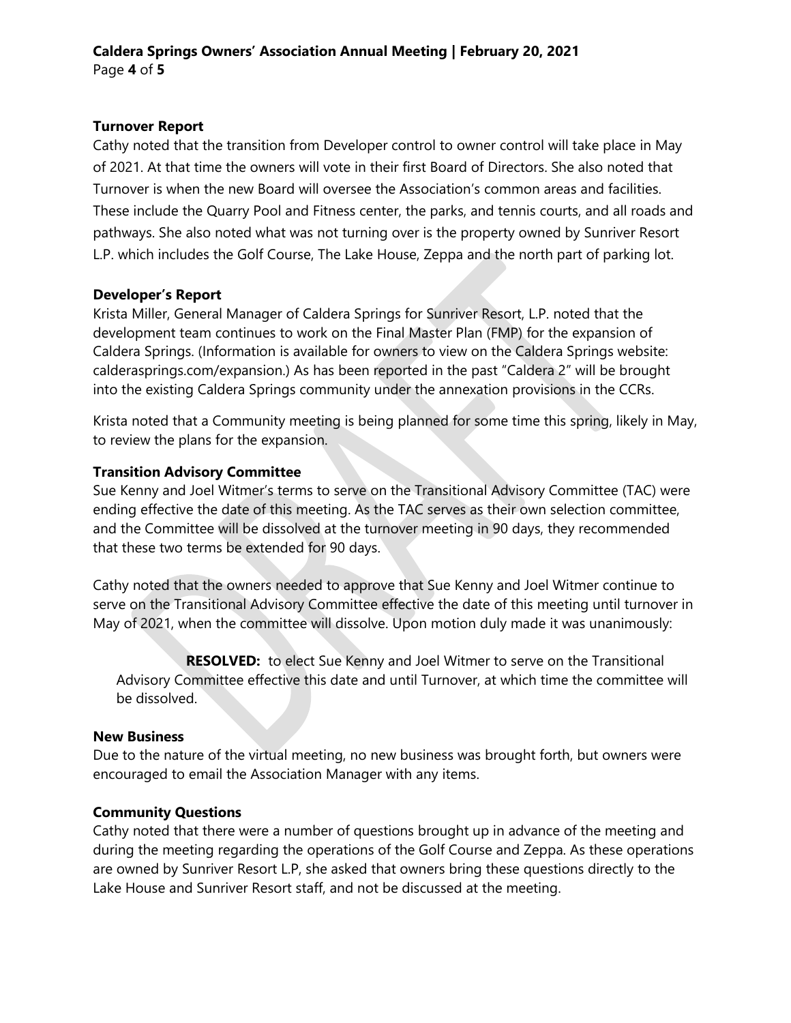## **Turnover Report**

Cathy noted that the transition from Developer control to owner control will take place in May of 2021. At that time the owners will vote in their first Board of Directors. She also noted that Turnover is when the new Board will oversee the Association's common areas and facilities. These include the Quarry Pool and Fitness center, the parks, and tennis courts, and all roads and pathways. She also noted what was not turning over is the property owned by Sunriver Resort L.P. which includes the Golf Course, The Lake House, Zeppa and the north part of parking lot.

## **Developer's Report**

Krista Miller, General Manager of Caldera Springs for Sunriver Resort, L.P. noted that the development team continues to work on the Final Master Plan (FMP) for the expansion of Caldera Springs. (Information is available for owners to view on the Caldera Springs website: calderasprings.com/expansion.) As has been reported in the past "Caldera 2" will be brought into the existing Caldera Springs community under the annexation provisions in the CCRs.

Krista noted that a Community meeting is being planned for some time this spring, likely in May, to review the plans for the expansion.

## **Transition Advisory Committee**

Sue Kenny and Joel Witmer's terms to serve on the Transitional Advisory Committee (TAC) were ending effective the date of this meeting. As the TAC serves as their own selection committee, and the Committee will be dissolved at the turnover meeting in 90 days, they recommended that these two terms be extended for 90 days.

Cathy noted that the owners needed to approve that Sue Kenny and Joel Witmer continue to serve on the Transitional Advisory Committee effective the date of this meeting until turnover in May of 2021, when the committee will dissolve. Upon motion duly made it was unanimously:

**RESOLVED:** to elect Sue Kenny and Joel Witmer to serve on the Transitional Advisory Committee effective this date and until Turnover, at which time the committee will be dissolved.

## **New Business**

Due to the nature of the virtual meeting, no new business was brought forth, but owners were encouraged to email the Association Manager with any items.

## **Community Questions**

Cathy noted that there were a number of questions brought up in advance of the meeting and during the meeting regarding the operations of the Golf Course and Zeppa. As these operations are owned by Sunriver Resort L.P, she asked that owners bring these questions directly to the Lake House and Sunriver Resort staff, and not be discussed at the meeting.